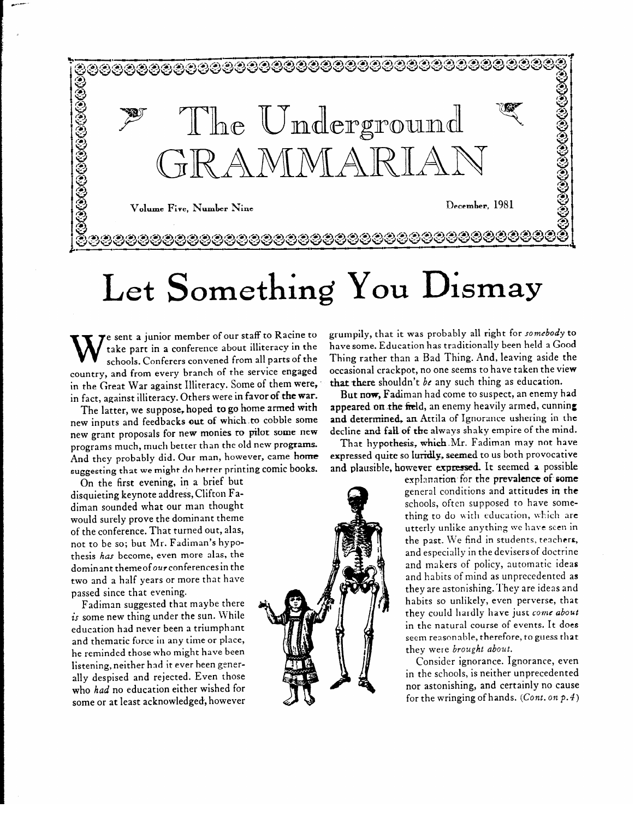

## **Let Something You Dismay**

Te sent a junior member of our staff to Racine to<br>I take part in a conference about illiteracy in the schools. Conferers convened from all parts of the country, and from every branch of the service engaged in the Great War against Illiteracy. Some of them were, in fact, against illiteracy. Others were in favor of the war.

The latter, we suppose, hoped to go home armed with new inputs and feedbacks out of which to cobble some new grant proposals for new monies to pilot some new programs much, much better than the old new programs. And they probably did. Our man, however, came home suggesting that we might do better printing comic books.

On the first evening, in a brief but disquieting keynote address. Clifton Fadiman sounded what our man thought would surely prove the dominant theme of the conference. That turned out, alas, not to be so; but Mr. Fadiman's hypothesis has become, even more alas, the dominant theme of  $our$  conferences in the two and a half years or more that have passed since that evening.

Fadiman suggested that maybe there  $i$ s some new thing under the sun. While education had never been a triumphant and thematic force in any time or place, he reminded those who might have been listening, neither had it ever been generally despised and rejected. Even those who had no education either wished for some or at least acknowledged, however grumpily, that it was probably all right for *somebody* to Thing rather than a Bad Thing. And, leaving aside the occasional crackpot, no one seems to have taken the view that there shouldn't be any such thing as education.

But now. Fadiman had come to suspect, an enemy had appeared on the freld, an enemy heavily armed, cunning and determined, an Attila of Ignorance ushering in the decline and fall of the always shaky empire of the mind.

That hypothesis, which Mr. Fadiman may not have expressed quite so luridly, seemed to us both provocative and plausible, however expressed. It seemed a possible



explanation for the prevalence of some general conditions and attitudes in the schools, often supposed to have something to do with education, which are utterly unlike anything we have seen in the past. We find in students, teachers, and especially in the devisers of doctrine and makers of policy, automatic ideas and habits of mind as unprecedented as they are astonishing. They are ideas and habits so unlikely, even perverse, that they could hardly have just come about in the natural course of events. It does seem reasonable, therefore, to guess that they were brought about.

Consider ignorance. Ignorance, even in the schools, is neither unprecedented nor astonishing, and certainly no cause for the wringing of hands.  $(Cont. on p.4)$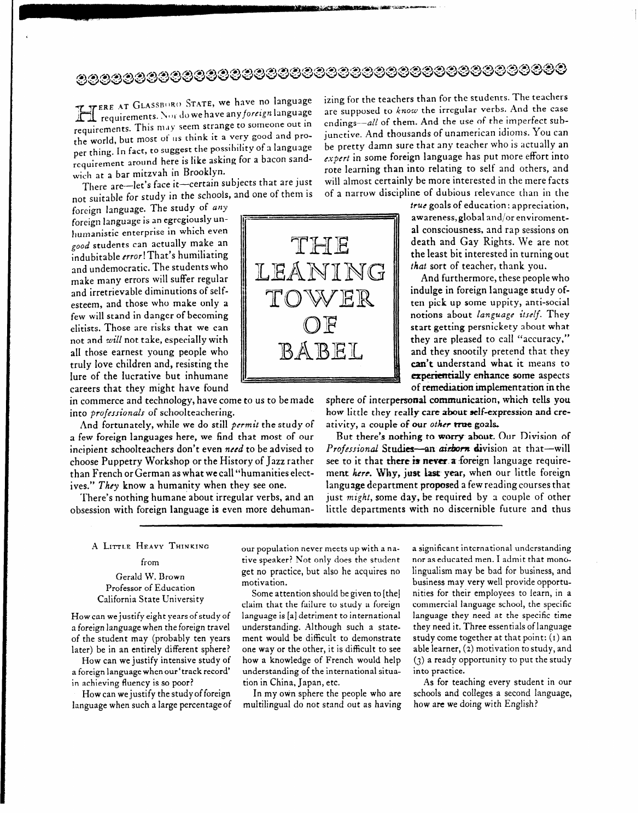fr) f.3 f.3 f.3 f.3 ,'a> hii 63 f5) 15) 63 43 I'i) 63 4 4 4 Cf3 \*3 4 4 Cf3 Cf3 <> Cf3 Cf3 +3 ff3 <f3 <@ <f3 {f3 +3 Cf3 ff3 Cf3 "3 Cf3 Cf3 fSf3 Cf3 ~~~Yy~W~WWWW~~~~~~~~~~~~~~~~~~~~~~~~~~~~~

not suitable for study in the schools, and one of them is

foreign language. The study of  $any$ foreign language is an egregiously unhumanistic enterprise in which even **good** students can **actually make an**  indubitable error! That's humiliating and undemocratic. The students who make many errors will suffer regular and irretrievable diminutions of selfesteem, and those who make only a few will stand in danger of becoming elitists. Those are risks that we can not and will not take, especiaIIy with all those earnest young people who truly love children and, resisting the lure of the lucrative but inhumane careers that they might have found

in commerce and technology, have come to us to bemade into *profezzionalz* of schoolteachering.

And fortunately, while we do still *permit* the study of a few foreign languages here, we find that most of our incipient schoolteachers don't even need to be advised to choose Puppetry Workshop or the History of Jazz rather than French or German as what we call "humanities electives." *They* know a humanity when they see one.

There's nothing humane about irregular verbs, and an obsession with foreign language is even more dehuman-

A A requirements. This may seem strange to someone out in endings—all of them. And the use of the imperfect sub-<br>requirements. This may seem strange to someone out in endings—all of them. And thousands of unamerican idioms **ERE ,4T GLASSRI~KO STATE, we** have no **language** izing for the teachers than for the students. The teachers requirements. Not do we have any foreign language are supposed to *know* the filegular verbs. And the case requirements. This may seem strange to contribute and pro-<br>the world, but most of us think it a very good and pro-<br>in fact, to suggest the possibility of a language be pretty damn sure that any teacher who is actually an per thing. In fact, to suggest the possibility of a language be pretty damn sure that any teacher who is actually an requirement around here is like asking for a bacon sand-<br>requirement around here is like asking for a bacon sand-<br>rote learning than into relating to self and others, and wich at a bar mitzvah in Brooklyn.<br>rote learning than into relating to self and others, and<br>The self and others and interest that are just will almost certainly be more interested in the mere facts There are—let's face it—certain subjects that are just will almost certainly be more interested in the mere facts<br>in the schools, and one of them is of a narrow discipline of dubious relevance than in the

> true goals of education: appreciation, awareness,global and/or enviromental consciousness, and rap sessions on death and Gay Rights. We are not the least bit interested in turning **out**  *that* sort of teacher, thank you.

> And furthermore, these people who indulge in foreign language study often pick up some uppity, anti-social notions about language *itself* They start getting persnickety about what they are pleased to call "accuracy," and they snootily pretend that they can't understand what it means to experientially enhance some aspects of remediation implementation in the

sphere of interpersonal communication, which tells you how little they really **care about self-expression and cre**ativity, a couple of our *other trne* goals.

But there's nothing to worry about, Our Division of Professional Studies-an airborn division at that-will see to it that there is never a foreign language requirement *here*. Why, just last year, when our little foreign language department proposed a few reading courses that **just** *might,* some day, be required by a couple of other little departments with no discernible future and thus

**A LITTLE HEAVY THINKING** 

## from

Gerald W. Brown Professor of Education California State University

Howcan wejustifyeight yearsofstudyof a foreign language when the foreign travel of the student may (probably ten years later) be in an entirely different sphere?

How can we justify intensive study of a foreign language when our 'track record' in achieving fluency is so poor?

How can we justify the study of foreign language when such a large percentage of our population never meets up with a native speaker? Not only does the student get no practice, but also he acquires no motivation.

Some attention should be given to [the] claim that the failure to study a foreign language is [a] detriment to international understanding. Although such a statement would be difficult to demonstrate one way or the other, it is difficult to see how a knowledge of French would help understanding of the international situa-

tion in China, Japan, etc. In my own sphere the people who are multilingual do not stand out as having

a significant international understanding lingualism may be bad for business, and business may very well provide opportunities for their employees to learn, in a commercial language school, the specific language they need at the specific time they need it. Three essentials of language study come together at that point:  $(1)$  an able learner, (2) motivation to study, and able learner, (2) motivation to study, and (3) a ready opportunity to put the study

into practice.<br>As for teaching every student in our schools and colleges a second language, schools and colleges a second language, how are we doing with English?